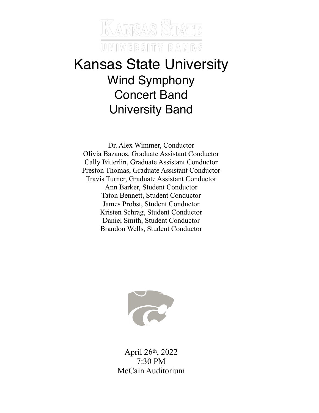

# Kansas State University Wind Symphony Concert Band University Band

Dr. Alex Wimmer, Conductor Olivia Bazanos, Graduate Assistant Conductor Cally Bitterlin, Graduate Assistant Conductor Preston Thomas, Graduate Assistant Conductor Travis Turner, Graduate Assistant Conductor Ann Barker, Student Conductor Taton Bennett, Student Conductor James Probst, Student Conductor Kristen Schrag, Student Conductor Daniel Smith, Student Conductor Brandon Wells, Student Conductor



April 26th, 2022 7:30 PM McCain Auditorium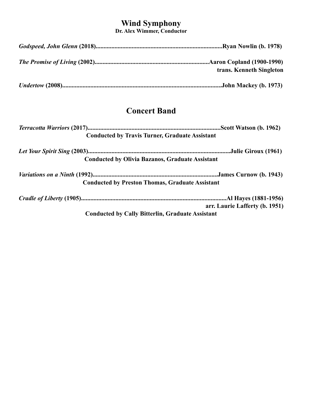# **Wind Symphony**

**Dr. Alex Wimmer, Conductor**

| trans. Kenneth Singleton |
|--------------------------|
|                          |

# **Concert Band**

| <b>Conducted by Travis Turner, Graduate Assistant</b>   |                                |  |  |  |
|---------------------------------------------------------|--------------------------------|--|--|--|
|                                                         |                                |  |  |  |
| <b>Conducted by Olivia Bazanos, Graduate Assistant</b>  |                                |  |  |  |
|                                                         |                                |  |  |  |
| <b>Conducted by Preston Thomas, Graduate Assistant</b>  |                                |  |  |  |
|                                                         |                                |  |  |  |
|                                                         | arr. Laurie Lafferty (b. 1951) |  |  |  |
| <b>Conducted by Cally Bitterlin, Graduate Assistant</b> |                                |  |  |  |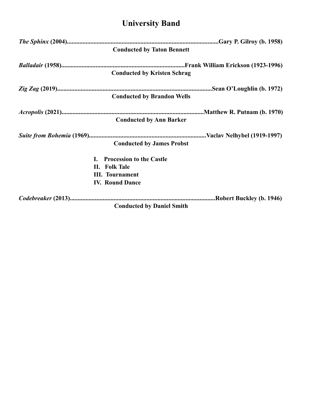# **University Band**

| <b>Conducted by Taton Bennett</b>  |  |
|------------------------------------|--|
|                                    |  |
| <b>Conducted by Kristen Schrag</b> |  |
|                                    |  |
| <b>Conducted by Brandon Wells</b>  |  |
|                                    |  |
| <b>Conducted by Ann Barker</b>     |  |
|                                    |  |
| <b>Conducted by James Probst</b>   |  |
| <b>Procession to the Castle</b>    |  |
| II. Folk Tale                      |  |
| <b>III.</b> Tournament             |  |
| <b>IV. Round Dance</b>             |  |
|                                    |  |
| <b>Conducted by Daniel Smith</b>   |  |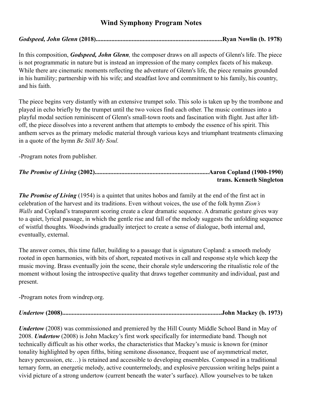# **Wind Symphony Program Notes**

# *Godspeed, John Glenn* **(2018).................................................................................Ryan Nowlin (b. 1978)**

In this composition, *Godspeed, John Glenn,* the composer draws on all aspects of Glenn's life. The piece is not programmatic in nature but is instead an impression of the many complex facets of his makeup. While there are cinematic moments reflecting the adventure of Glenn's life, the piece remains grounded in his humility; partnership with his wife; and steadfast love and commitment to his family, his country, and his faith.

The piece begins very distantly with an extensive trumpet solo. This solo is taken up by the trombone and played in echo briefly by the trumpet until the two voices find each other. The music continues into a playful modal section reminiscent of Glenn's small-town roots and fascination with flight. Just after liftoff, the piece dissolves into a reverent anthem that attempts to embody the essence of his spirit. This anthem serves as the primary melodic material through various keys and triumphant treatments climaxing in a quote of the hymn *Be Still My Soul.*

-Program notes from publisher.

| trans. Kenneth Singleton |
|--------------------------|

*The Promise of Living* (1954) is a quintet that unites hobos and family at the end of the first act in celebration of the harvest and its traditions. Even without voices, the use of the folk hymn *Zion's Walls* and Copland's transparent scoring create a clear dramatic sequence. A dramatic gesture gives way to a quiet, lyrical passage, in which the gentle rise and fall of the melody suggests the unfolding sequence of wistful thoughts. Woodwinds gradually interject to create a sense of dialogue, both internal and, eventually, external.

The answer comes, this time fuller, building to a passage that is signature Copland: a smooth melody rooted in open harmonies, with bits of short, repeated motives in call and response style which keep the music moving. Brass eventually join the scene, their chorale style underscoring the ritualistic role of the moment without losing the introspective quality that draws together community and individual, past and present.

-Program notes from windrep.org.

*Undertow* **(2008)......................................................................................................John Mackey (b. 1973)**

*Undertow* (2008) was commissioned and premiered by the Hill County Middle School Band in May of 2008. *Undertow* (2008) is John Mackey's first work specifically for intermediate band. Though not technically difficult as his other works, the characteristics that Mackey's music is known for (minor tonality highlighted by open fifths, biting semitone dissonance, frequent use of asymmetrical meter, heavy percussion, etc…) is retained and accessible to developing ensembles. Composed in a traditional ternary form, an energetic melody, active countermelody, and explosive percussion writing helps paint a vivid picture of a strong undertow (current beneath the water's surface). Allow yourselves to be taken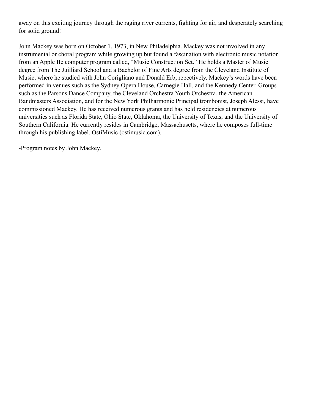away on this exciting journey through the raging river currents, fighting for air, and desperately searching for solid ground!

John Mackey was born on October 1, 1973, in New Philadelphia. Mackey was not involved in any instrumental or choral program while growing up but found a fascination with electronic music notation from an Apple IIe computer program called, "Music Construction Set." He holds a Master of Music degree from The Juilliard School and a Bachelor of Fine Arts degree from the Cleveland Institute of Music, where he studied with John Corigliano and Donald Erb, repectively. Mackey's words have been performed in venues such as the Sydney Opera House, Carnegie Hall, and the Kennedy Center. Groups such as the Parsons Dance Company, the Cleveland Orchestra Youth Orchestra, the American Bandmasters Association, and for the New York Philharmonic Principal trombonist, Joseph Alessi, have commissioned Mackey. He has received numerous grants and has held residencies at numerous universities such as Florida State, Ohio State, Oklahoma, the University of Texas, and the University of Southern California. He currently resides in Cambridge, Massachusetts, where he composes full-time through his publishing label, OstiMusic (ostimusic.com).

-Program notes by John Mackey.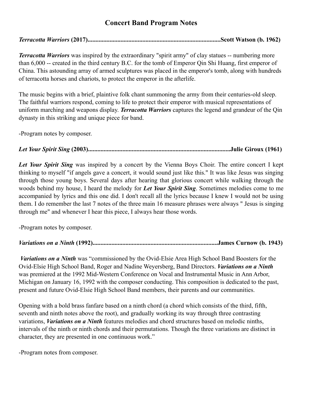# **Concert Band Program Notes**

*Terracotta Warriors* **(2017).....................................................................................Scott Watson (b. 1962)**

*Terracotta Warriors* was inspired by the extraordinary "spirit army" of clay statues -- numbering more than 6,000 -- created in the third century B.C. for the tomb of Emperor Qin Shi Huang, first emperor of China. This astounding array of armed sculptures was placed in the emperor's tomb, along with hundreds of terracotta horses and chariots, to protect the emperor in the afterlife.

The music begins with a brief, plaintive folk chant summoning the army from their centuries-old sleep. The faithful warriors respond, coming to life to protect their emperor with musical representations of uniform marching and weapons display. *Terracotta Warriors* captures the legend and grandeur of the Qin dynasty in this striking and unique piece for band.

-Program notes by composer.

# *Let Your Spirit Sing* **(2003)...........................................................................................Julie Giroux (1961)**

*Let Your Spirit Sing* was inspired by a concert by the Vienna Boys Choir. The entire concert I kept thinking to myself "if angels gave a concert, it would sound just like this." It was like Jesus was singing through those young boys. Several days after hearing that glorious concert while walking through the woods behind my house, I heard the melody for *Let Your Spirit Sing*. Sometimes melodies come to me accompanied by lyrics and this one did. I don't recall all the lyrics because I knew I would not be using them. I do remember the last 7 notes of the three main 16 measure phrases were always " Jesus is singing through me" and whenever I hear this piece, I always hear those words.

-Program notes by composer.

# *Variations on a Ninth* **(1992)................................................................................James Curnow (b. 1943)**

*Variations on a Ninth* was "commissioned by the Ovid-Elsie Area High School Band Boosters for the Ovid-Elsie High School Band, Roger and Nadine Weyersberg, Band Directors. *Variations on a Ninth* was premiered at the 1992 Mid-Western Conference on Vocal and Instrumental Music in Ann Arbor, Michigan on January 16, 1992 with the composer conducting. This composition is dedicated to the past, present and future Ovid-Elsie High School Band members, their parents and our communities.

Opening with a bold brass fanfare based on a ninth chord (a chord which consists of the third, fifth, seventh and ninth notes above the root), and gradually working its way through three contrasting variations, *Variations on a Ninth* features melodies and chord structures based on melodic ninths, intervals of the ninth or ninth chords and their permutations. Though the three variations are distinct in character, they are presented in one continuous work."

-Program notes from composer.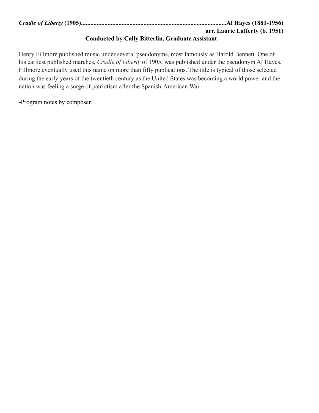| arr. Laurie Lafferty (b. 1951) |
|--------------------------------|

# **Conducted by Cally Bitterlin, Graduate Assistant**

Henry Fillmore published music under several pseudonyms, most famously as Harold Bennett. One of his earliest published marches, *Cradle of Liberty* of 1905, was published under the pseudonym Al Hayes. Fillmore eventually used this name on more than fifty publications. The title is typical of those selected during the early years of the twentieth century as the United States was becoming a world power and the nation was feeling a surge of patriotism after the Spanish-American War.

**-**Program notes by composer.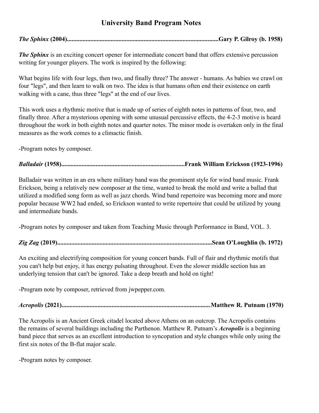# **University Band Program Notes**

*The Sphinx* **(2004).................................................................................................Gary P. Gilroy (b. 1958)**

*The Sphinx* is an exciting concert opener for intermediate concert band that offers extensive percussion writing for younger players. The work is inspired by the following:

What begins life with four legs, then two, and finally three? The answer - humans. As babies we crawl on four "legs", and then learn to walk on two. The idea is that humans often end their existence on earth walking with a cane, thus three "legs" at the end of our lives.

This work uses a rhythmic motive that is made up of series of eighth notes in patterns of four, two, and finally three. After a mysterious opening with some unusual percussive effects, the 4-2-3 motive is heard throughout the work in both eighth notes and quarter notes. The minor mode is overtaken only in the final measures as the work comes to a climactic finish.

-Program notes by composer.

# *Balladair* **(1958)...............................................................................Frank William Erickson (1923-1996)**

Balladair was written in an era where military band was the prominent style for wind band music. Frank Erickson, being a relatively new composer at the time, wanted to break the mold and write a ballad that utilized a modified song form as well as jazz chords. Wind band repertoire was becoming more and more popular because WW2 had ended, so Erickson wanted to write repertoire that could be utilized by young and intermediate bands.

-Program notes by composer and taken from Teaching Music through Performance in Band, VOL. 3.

# *Zig Zag* **(2019)...................................................................................................Sean O'Loughlin (b. 1972)**

An exciting and electrifying composition for young concert bands. Full of flair and rhythmic motifs that you can't help but enjoy, it has energy pulsating throughout. Even the slower middle section has an underlying tension that can't be ignored. Take a deep breath and hold on tight!

-Program note by composer, retrieved from jwpepper.com.

*Acropolis* **(2021)................................................................................................Matthew R. Putnam (1970)**

The Acropolis is an Ancient Greek citadel located above Athens on an outcrop. The Acropolis contains the remains of several buildings including the Parthenon. Matthew R. Putnam's *Acropolis* is a beginning band piece that serves as an excellent introduction to syncopation and style changes while only using the first six notes of the B-flat major scale.

-Program notes by composer.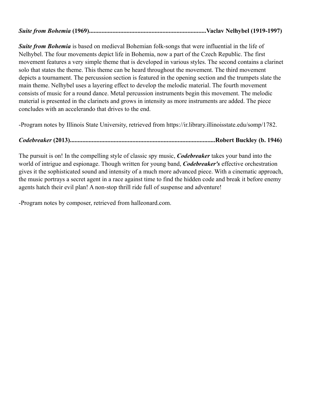*Suite from Bohemia* is based on medieval Bohemian folk-songs that were influential in the life of Nelhybel. The four movements depict life in Bohemia, now a part of the Czech Republic. The first movement features a very simple theme that is developed in various styles. The second contains a clarinet solo that states the theme. This theme can be heard throughout the movement. The third movement depicts a tournament. The percussion section is featured in the opening section and the trumpets slate the main theme. Nelhybel uses a layering effect to develop the melodic material. The fourth movement consists of music for a round dance. Metal percussion instruments begin this movement. The melodic material is presented in the clarinets and grows in intensity as more instruments are added. The piece concludes with an accelerando that drives to the end.

-Program notes by Illinois State University, retrieved from https://ir.library.illinoisstate.edu/somp/1782.

# *Codebreaker* **(2013).............................................................................................Robert Buckley (b. 1946)**

The pursuit is on! In the compelling style of classic spy music, *Codebreaker* takes your band into the world of intrigue and espionage. Though written for young band, *Codebreaker's* effective orchestration gives it the sophisticated sound and intensity of a much more advanced piece. With a cinematic approach, the music portrays a secret agent in a race against time to find the hidden code and break it before enemy agents hatch their evil plan! A non-stop thrill ride full of suspense and adventure!

-Program notes by composer, retrieved from halleonard.com.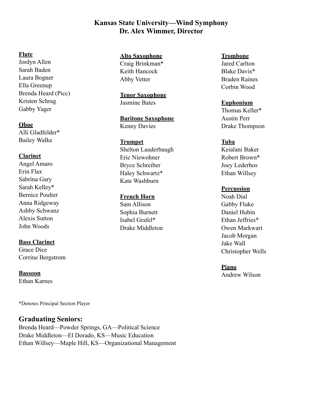# **Kansas State University—Wind Symphony Dr. Alex Wimmer, Director**

### **Flute**

Jordyn Allen Sarah Baden Laura Bogner Ella Greenup Brenda Heard (Picc) Kristen Schrag Gabby Yager

#### **Oboe**

Alli Gladfelder\* Bailey Walke

# **Clarinet**

Angel Amaro Erin Flax Sabrina Gary Sarah Kelley\* Bernice Poulter Anna Ridgeway Ashby Schwanz Alexis Sutton John Woods

# **Bass Clarinet**

Grace Dice Corrine Bergstrom

**Bassoon** Ethan Karnes

\*Denotes Principal Section Player

# **Graduating Seniors:**

Brenda Heard—Powder Springs, GA—Political Science Drake Middleton—El Dorado, KS—Music Education Ethan Willsey—Maple Hill, KS—Organizational Management

#### **Alto Saxophone** Craig Brinkman\*

Keith Hancock Abby Vetter

**Tenor Saxophone** Jasmine Bates

**Baritone Saxophone** Kenny Davies

### **Trumpet**

Shelton Lauderbaugh Eric Niewohner Bryce Schreiber Haley Schwartz\* Kate Washburn

#### **French Horn**

Sam Allison Sophia Burnett Isabel Grafel\* Drake Middleton

#### **Trombone**

Jared Carlton Blake Davis\* Braden Raines Corbin Wood

# **Euphonium**

Thomas Keller\* Austin Perr Drake Thompson

### **Tuba**

Keialani Baker Robert Brown\* Joey Lederhos Ethan Willsey

#### **Percussion**

Noah Dial Gabby Fluke Daniel Hubin Ethan Jeffries\* Owen Markwart Jacob Morgan Jake Wall Christopher Wells

**Piano**

Andrew Wilson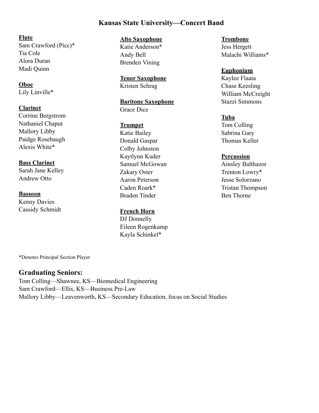# **Kansas State University—Concert Band**

**Flute** Sam Crawford (Picc)\* Tia Cole Alora Duran Madi Quinn

**Oboe** Lily Linville\*

**Clarinet** Corrine Bergstrom Nathaniel Chaput Mallory Libby Paidge Rosebaugh Alexis White\*

**Bass Clarinet**  Sarah Jane Kelley Andrew Otto

**Bassoon** Kenny Davies Cassidy Schmidt **Alto Saxophone** Katie Anderson\* Andy Bell Brenden Vining

**Tenor Saxophone** Kristen Schrag

**Baritone Saxophone** Grace Dice

**Trumpet** Katie Bailey Donald Gaspar Colby Johnston Kaytlynn Kuder Samuel McGowan Zakary Oster Aaron Peterson Caden Roark\* Braden Tinder

**French Horn**

DJ Donnelly Eileen Rogenkamp Kayla Schinkel\*

**Trombone** Jess Hergett Malachi Williams\*

**Euphonium** Kaylee Flaata Chase Keesling William McCreight Stazzi Simmons

# **Tuba**

Tom Colling Sabrina Gary Thomas Keller

### **Percussion**

Ainsley Balthazor Trenton Lowry\* Jesse Solorzano Tristan Thompson Ben Thorne

\*Denotes Principal Section Player

# **Graduating Seniors:**

Tom Colling—Shawnee, KS—Biomedical Engineering Sam Crawford—Ellis, KS—Business Pre-Law Mallory Libby—Leavenworth, KS—Secondary Education, focus on Social Studies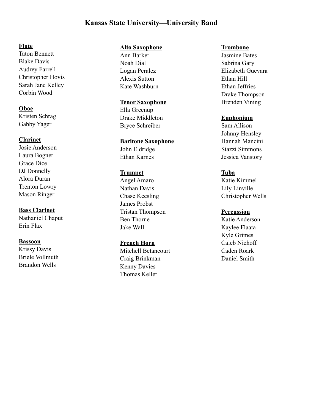# **Kansas State University—University Band**

#### **Flute**

Taton Bennett Blake Davis Audrey Farrell Christopher Hovis Sarah Jane Kelley Corbin Wood

### **Oboe**

Kristen Schrag Gabby Yager

# **Clarinet**

Josie Anderson Laura Bogner Grace Dice DJ Donnelly Alora Duran Trenton Lowry Mason Ringer

# **Bass Clarinet**

Nathaniel Chaput Erin Flax

#### **Bassoon**

Krissy Davis Briele Vollmuth Brandon Wells

## **Alto Saxophone**

Ann Barker Noah Dial Logan Peralez Alexis Sutton Kate Washburn

### **Tenor Saxophone**

Ella Greenup Drake Middleton Bryce Schreiber

# **Baritone Saxophone**

John Eldridge Ethan Karnes

# **Trumpet**

Angel Amaro Nathan Davis Chase Keesling James Probst Tristan Thompson Ben Thorne Jake Wall

#### **French Horn**

Mitchell Betancourt Craig Brinkman Kenny Davies Thomas Keller

#### **Trombone**

Jasmine Bates Sabrina Gary Elizabeth Guevara Ethan Hill Ethan Jeffries Drake Thompson Brenden Vining

# **Euphonium**

Sam Allison Johnny Hensley Hannah Mancini Stazzi Simmons Jessica Vanstory

# **Tuba**

Katie Kimmel Lily Linville Christopher Wells

# **Percussion**

Katie Anderson Kaylee Flaata Kyle Grimes Caleb Niehoff Caden Roark Daniel Smith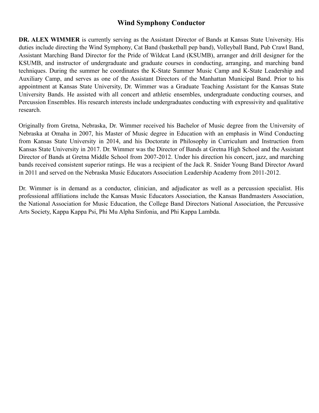# **Wind Symphony Conductor**

**DR. ALEX WIMMER** is currently serving as the Assistant Director of Bands at Kansas State University. His duties include directing the Wind Symphony, Cat Band (basketball pep band), Volleyball Band, Pub Crawl Band, Assistant Marching Band Director for the Pride of Wildcat Land (KSUMB), arranger and drill designer for the KSUMB, and instructor of undergraduate and graduate courses in conducting, arranging, and marching band techniques. During the summer he coordinates the K-State Summer Music Camp and K-State Leadership and Auxiliary Camp, and serves as one of the Assistant Directors of the Manhattan Municipal Band. Prior to his appointment at Kansas State University, Dr. Wimmer was a Graduate Teaching Assistant for the Kansas State University Bands. He assisted with all concert and athletic ensembles, undergraduate conducting courses, and Percussion Ensembles. His research interests include undergraduates conducting with expressivity and qualitative research.

Originally from Gretna, Nebraska, Dr. Wimmer received his Bachelor of Music degree from the University of Nebraska at Omaha in 2007, his Master of Music degree in Education with an emphasis in Wind Conducting from Kansas State University in 2014, and his Doctorate in Philosophy in Curriculum and Instruction from Kansas State University in 2017. Dr. Wimmer was the Director of Bands at Gretna High School and the Assistant Director of Bands at Gretna Middle School from 2007-2012. Under his direction his concert, jazz, and marching bands received consistent superior ratings. He was a recipient of the Jack R. Snider Young Band Director Award in 2011 and served on the Nebraska Music Educators Association Leadership Academy from 2011-2012.

Dr. Wimmer is in demand as a conductor, clinician, and adjudicator as well as a percussion specialist. His professional affiliations include the Kansas Music Educators Association, the Kansas Bandmasters Association, the National Association for Music Education, the College Band Directors National Association, the Percussive Arts Society, Kappa Kappa Psi, Phi Mu Alpha Sinfonia, and Phi Kappa Lambda.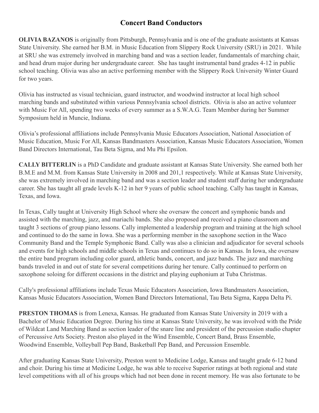# **Concert Band Conductors**

**OLIVIA BAZANOS** is originally from Pittsburgh, Pennsylvania and is one of the graduate assistants at Kansas State University. She earned her B.M. in Music Education from Slippery Rock University (SRU) in 2021. While at SRU she was extremely involved in marching band and was a section leader, fundamentals of marching chair, and head drum major during her undergraduate career. She has taught instrumental band grades 4-12 in public school teaching. Olivia was also an active performing member with the Slippery Rock University Winter Guard for two years.

Olivia has instructed as visual technician, guard instructor, and woodwind instructor at local high school marching bands and substituted within various Pennsylvania school districts. Olivia is also an active volunteer with Music For All, spending two weeks of every summer as a S.W.A.G. Team Member during her Summer Symposium held in Muncie, Indiana.

Olivia's professional affiliations include Pennsylvania Music Educators Association, National Association of Music Education, Music For All, Kansas Bandmasters Association, Kansas Music Educators Association, Women Band Directors International, Tau Beta Sigma, and Mu Phi Epsilon.

**CALLY BITTERLIN** is a PhD Candidate and graduate assistant at Kansas State University. She earned both her B.M.E and M.M. from Kansas State University in 2008 and 201,1 respectively. While at Kansas State University, she was extremely involved in marching band and was a section leader and student staff during her undergraduate career. She has taught all grade levels K-12 in her 9 years of public school teaching. Cally has taught in Kansas, Texas, and Iowa.

In Texas, Cally taught at University High School where she oversaw the concert and symphonic bands and assisted with the marching, jazz, and mariachi bands. She also proposed and received a piano classroom and taught 3 sections of group piano lessons. Cally implemented a leadership program and training at the high school and continued to do the same in Iowa. She was a performing member in the saxophone section in the Waco Community Band and the Temple Symphonic Band. Cally was also a clinician and adjudicator for several schools and events for high schools and middle schools in Texas and continues to do so in Kansas. In Iowa, she oversaw the entire band program including color guard, athletic bands, concert, and jazz bands. The jazz and marching bands traveled in and out of state for several competitions during her tenure. Cally continued to perform on saxophone soloing for different occasions in the district and playing euphonium at Tuba Christmas.

Cally's professional affiliations include Texas Music Educators Association, Iowa Bandmasters Association, Kansas Music Educators Association, Women Band Directors International, Tau Beta Sigma, Kappa Delta Pi.

**PRESTON THOMAS** is from Lenexa, Kansas. He graduated from Kansas State University in 2019 with a Bachelor of Music Education Degree. During his time at Kansas State University, he was involved with the Pride of Wildcat Land Marching Band as section leader of the snare line and president of the percussion studio chapter of Percussive Arts Society. Preston also played in the Wind Ensemble, Concert Band, Brass Ensemble, Woodwind Ensemble, Volleyball Pep Band, Basketball Pep Band, and Percussion Ensemble.

After graduating Kansas State University, Preston went to Medicine Lodge, Kansas and taught grade 6-12 band and choir. During his time at Medicine Lodge, he was able to receive Superior ratings at both regional and state level competitions with all of his groups which had not been done in recent memory. He was also fortunate to be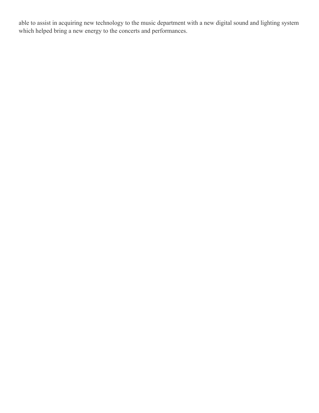able to assist in acquiring new technology to the music department with a new digital sound and lighting system which helped bring a new energy to the concerts and performances.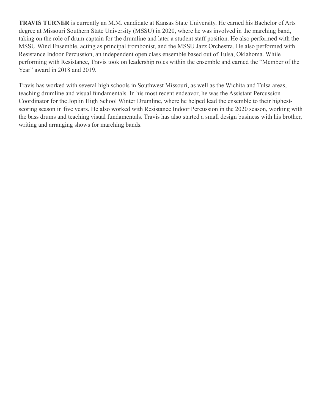**TRAVIS TURNER** is currently an M.M. candidate at Kansas State University. He earned his Bachelor of Arts degree at Missouri Southern State University (MSSU) in 2020, where he was involved in the marching band, taking on the role of drum captain for the drumline and later a student staff position. He also performed with the MSSU Wind Ensemble, acting as principal trombonist, and the MSSU Jazz Orchestra. He also performed with Resistance Indoor Percussion, an independent open class ensemble based out of Tulsa, Oklahoma. While performing with Resistance, Travis took on leadership roles within the ensemble and earned the "Member of the Year" award in 2018 and 2019.

Travis has worked with several high schools in Southwest Missouri, as well as the Wichita and Tulsa areas, teaching drumline and visual fundamentals. In his most recent endeavor, he was the Assistant Percussion Coordinator for the Joplin High School Winter Drumline, where he helped lead the ensemble to their highestscoring season in five years. He also worked with Resistance Indoor Percussion in the 2020 season, working with the bass drums and teaching visual fundamentals. Travis has also started a small design business with his brother, writing and arranging shows for marching bands.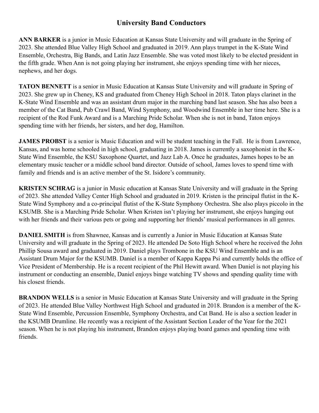# **University Band Conductors**

**ANN BARKER** is a junior in Music Education at Kansas State University and will graduate in the Spring of 2023. She attended Blue Valley High School and graduated in 2019. Ann plays trumpet in the K-State Wind Ensemble, Orchestra, Big Bands, and Latin Jazz Ensemble. She was voted most likely to be elected president in the fifth grade. When Ann is not going playing her instrument, she enjoys spending time with her nieces, nephews, and her dogs.

**TATON BENNETT** is a senior in Music Education at Kansas State University and will graduate in Spring of 2023. She grew up in Cheney, KS and graduated from Cheney High School in 2018. Taton plays clarinet in the K-State Wind Ensemble and was an assistant drum major in the marching band last season. She has also been a member of the Cat Band, Pub Crawl Band, Wind Symphony, and Woodwind Ensemble in her time here. She is a recipient of the Rod Funk Award and is a Marching Pride Scholar. When she is not in band, Taton enjoys spending time with her friends, her sisters, and her dog, Hamilton.

**JAMES PROBST** is a senior is Music Education and will be student teaching in the Fall. He is from Lawrence, Kansas, and was home schooled in high school, graduating in 2018. James is currently a saxophonist in the K-State Wind Ensemble, the KSU Saxophone Quartet, and Jazz Lab A. Once he graduates, James hopes to be an elementary music teacher or a middle school band director. Outside of school, James loves to spend time with family and friends and is an active member of the St. Isidore's community.

**KRISTEN SCHRAG** is a junior in Music education at Kansas State University and will graduate in the Spring of 2023. She attended Valley Center High School and graduated in 2019. Kristen is the principal flutist in the K-State Wind Symphony and a co-principal flutist of the K-State Symphony Orchestra. She also plays piccolo in the KSUMB. She is a Marching Pride Scholar. When Kristen isn't playing her instrument, she enjoys hanging out with her friends and their various pets or going and supporting her friends' musical performances in all genres.

**DANIEL SMITH** is from Shawnee, Kansas and is currently a Junior in Music Education at Kansas State University and will graduate in the Spring of 2023. He attended De Soto High School where he received the John Phillip Sousa award and graduated in 2019. Daniel plays Trombone in the KSU Wind Ensemble and is an Assistant Drum Major for the KSUMB. Daniel is a member of Kappa Kappa Psi and currently holds the office of Vice President of Membership. He is a recent recipient of the Phil Hewitt award. When Daniel is not playing his instrument or conducting an ensemble, Daniel enjoys binge watching TV shows and spending quality time with his closest friends.

**BRANDON WELLS** is a senior in Music Education at Kansas State University and will graduate in the Spring of 2023. He attended Blue Valley Northwest High School and graduated in 2018. Brandon is a member of the K-State Wind Ensemble, Percussion Ensemble, Symphony Orchestra, and Cat Band. He is also a section leader in the KSUMB Drumline. He recently was a recipient of the Assistant Section Leader of the Year for the 2021 season. When he is not playing his instrument, Brandon enjoys playing board games and spending time with friends.